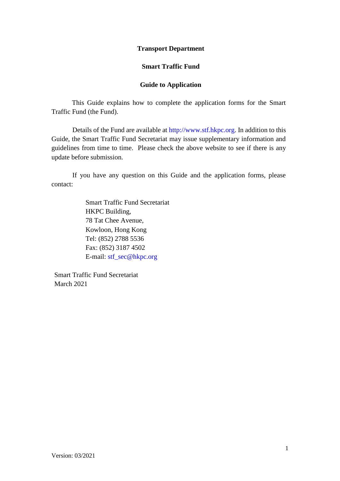#### **Transport Department**

#### **Smart Traffic Fund**

#### **Guide to Application**

This Guide explains how to complete the application forms for the Smart Traffic Fund (the Fund).

Details of the Fund are available at [http://www.stf.hkpc.org.](http://www.stf.hkpc.org/) In addition to this Guide, the Smart Traffic Fund Secretariat may issue supplementary information and guidelines from time to time. Please check the above website to see if there is any update before submission.

If you have any question on this Guide and the application forms, please contact:

> Smart Traffic Fund Secretariat HKPC Building, 78 Tat Chee Avenue, Kowloon, Hong Kong Tel: (852) 2788 5536 Fax: (852) 3187 4502 E-mail: [stf\\_sec@hkpc.org](mailto:stf_sec@hkpc.org)

Smart Traffic Fund Secretariat March 2021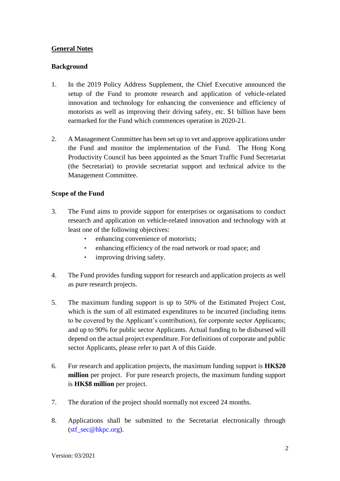## **General Notes**

#### **Background**

- 1. In the 2019 Policy Address Supplement, the Chief Executive announced the setup of the Fund to promote research and application of vehicle-related innovation and technology for enhancing the convenience and efficiency of motorists as well as improving their driving safety, etc. \$1 billion have been earmarked for the Fund which commences operation in 2020-21.
- 2. A Management Committee has been set up to vet and approve applications under the Fund and monitor the implementation of the Fund. The Hong Kong Productivity Council has been appointed as the Smart Traffic Fund Secretariat (the Secretariat) to provide secretariat support and technical advice to the Management Committee.

#### **Scope of the Fund**

- 3. The Fund aims to provide support for enterprises or organisations to conduct research and application on vehicle-related innovation and technology with at least one of the following objectives:
	- enhancing convenience of motorists;
	- enhancing efficiency of the road network or road space; and
	- improving driving safety.
- 4. The Fund provides funding support for research and application projects as well as pure research projects.
- 5. The maximum funding support is up to 50% of the Estimated Project Cost, which is the sum of all estimated expenditures to be incurred (including items to be covered by the Applicant's contribution), for corporate sector Applicants; and up to 90% for public sector Applicants. Actual funding to be disbursed will depend on the actual project expenditure. For definitions of corporate and public sector Applicants, please refer to part A of this Guide.
- 6. For research and application projects, the maximum funding support is **HK\$20 million** per project. For pure research projects, the maximum funding support is **HK\$8 million** per project.
- 7. The duration of the project should normally not exceed 24 months.
- 8. Applications shall be submitted to the Secretariat electronically through  $(stf \sec@hkpc.org)$ .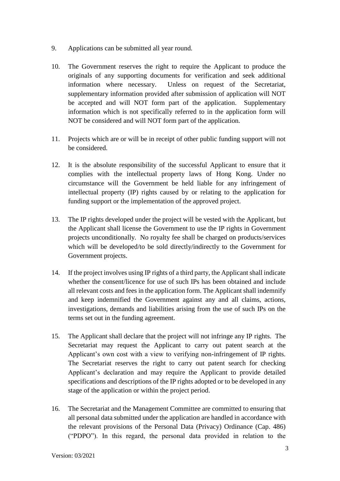- 9. Applications can be submitted all year round.
- 10. The Government reserves the right to require the Applicant to produce the originals of any supporting documents for verification and seek additional information where necessary. Unless on request of the Secretariat, supplementary information provided after submission of application will NOT be accepted and will NOT form part of the application. Supplementary information which is not specifically referred to in the application form will NOT be considered and will NOT form part of the application.
- 11. Projects which are or will be in receipt of other public funding support will not be considered.
- 12. It is the absolute responsibility of the successful Applicant to ensure that it complies with the intellectual property laws of Hong Kong. Under no circumstance will the Government be held liable for any infringement of intellectual property (IP) rights caused by or relating to the application for funding support or the implementation of the approved project.
- 13. The IP rights developed under the project will be vested with the Applicant, but the Applicant shall license the Government to use the IP rights in Government projects unconditionally. No royalty fee shall be charged on products/services which will be developed/to be sold directly/indirectly to the Government for Government projects.
- 14. If the project involves using IP rights of a third party, the Applicant shall indicate whether the consent/licence for use of such IPs has been obtained and include all relevant costs and fees in the application form. The Applicant shall indemnify and keep indemnified the Government against any and all claims, actions, investigations, demands and liabilities arising from the use of such IPs on the terms set out in the funding agreement.
- 15. The Applicant shall declare that the project will not infringe any IP rights. The Secretariat may request the Applicant to carry out patent search at the Applicant's own cost with a view to verifying non-infringement of IP rights. The Secretariat reserves the right to carry out patent search for checking Applicant's declaration and may require the Applicant to provide detailed specifications and descriptions of the IP rights adopted or to be developed in any stage of the application or within the project period.
- 16. The Secretariat and the Management Committee are committed to ensuring that all personal data submitted under the application are handled in accordance with the relevant provisions of the Personal Data (Privacy) Ordinance (Cap. 486) ("PDPO"). In this regard, the personal data provided in relation to the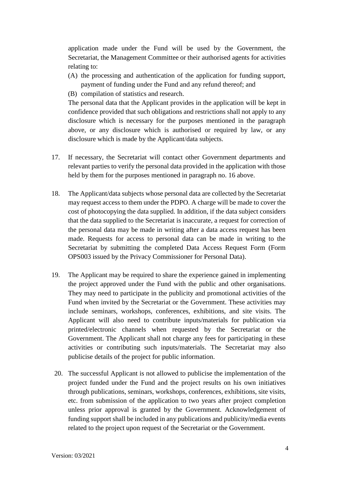application made under the Fund will be used by the Government, the Secretariat, the Management Committee or their authorised agents for activities relating to:

- (A) the processing and authentication of the application for funding support, payment of funding under the Fund and any refund thereof; and
- (B) compilation of statistics and research.

The personal data that the Applicant provides in the application will be kept in confidence provided that such obligations and restrictions shall not apply to any disclosure which is necessary for the purposes mentioned in the paragraph above, or any disclosure which is authorised or required by law, or any disclosure which is made by the Applicant/data subjects.

- 17. If necessary, the Secretariat will contact other Government departments and relevant parties to verify the personal data provided in the application with those held by them for the purposes mentioned in paragraph no. 16 above.
- 18. The Applicant/data subjects whose personal data are collected by the Secretariat may request access to them under the PDPO. A charge will be made to cover the cost of photocopying the data supplied. In addition, if the data subject considers that the data supplied to the Secretariat is inaccurate, a request for correction of the personal data may be made in writing after a data access request has been made. Requests for access to personal data can be made in writing to the Secretariat by submitting the completed Data Access Request Form (Form OPS003 issued by the Privacy Commissioner for Personal Data).
- 19. The Applicant may be required to share the experience gained in implementing the project approved under the Fund with the public and other organisations. They may need to participate in the publicity and promotional activities of the Fund when invited by the Secretariat or the Government. These activities may include seminars, workshops, conferences, exhibitions, and site visits. The Applicant will also need to contribute inputs/materials for publication via printed/electronic channels when requested by the Secretariat or the Government. The Applicant shall not charge any fees for participating in these activities or contributing such inputs/materials. The Secretariat may also publicise details of the project for public information.
- 20. The successful Applicant is not allowed to publicise the implementation of the project funded under the Fund and the project results on his own initiatives through publications, seminars, workshops, conferences, exhibitions, site visits, etc. from submission of the application to two years after project completion unless prior approval is granted by the Government. Acknowledgement of funding support shall be included in any publications and publicity/media events related to the project upon request of the Secretariat or the Government.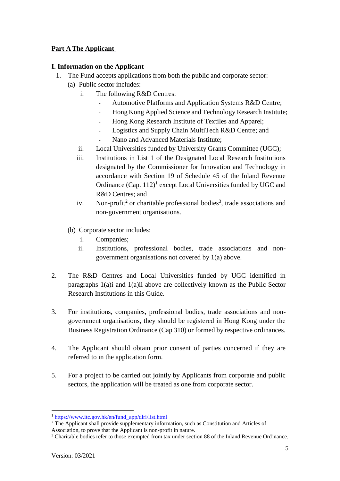## **Part A The Applicant**

## **I. Information on the Applicant**

- 1. The Fund accepts applications from both the public and corporate sector:
	- (a) Public sector includes:
		- i. The following R&D Centres:
			- Automotive Platforms and Application Systems R&D Centre;
			- Hong Kong Applied Science and Technology Research Institute;
			- Hong Kong Research Institute of Textiles and Apparel;
			- Logistics and Supply Chain MultiTech R&D Centre; and
			- Nano and Advanced Materials Institute;
		- ii. Local Universities funded by University Grants Committee (UGC);
		- iii. Institutions in List 1 of the Designated Local Research Institutions designated by the Commissioner for Innovation and Technology in accordance with Section 19 of Schedule 45 of the Inland Revenue Ordinance  $(Cap. 112)^1$  except Local Universities funded by UGC and R&D Centres; and
		- iv. Non-profit<sup>2</sup> or charitable professional bodies<sup>3</sup>, trade associations and non-government organisations.
	- (b) Corporate sector includes:
		- i. Companies;
		- ii. Institutions, professional bodies, trade associations and nongovernment organisations not covered by 1(a) above.
- 2. The R&D Centres and Local Universities funded by UGC identified in paragraphs 1(a)i and 1(a)ii above are collectively known as the Public Sector Research Institutions in this Guide.
- 3. For institutions, companies, professional bodies, trade associations and nongovernment organisations, they should be registered in Hong Kong under the Business Registration Ordinance (Cap 310) or formed by respective ordinances.
- 4. The Applicant should obtain prior consent of parties concerned if they are referred to in the application form.
- 5. For a project to be carried out jointly by Applicants from corporate and public sectors, the application will be treated as one from corporate sector.

 $\overline{a}$ <sup>1</sup> [https://www.itc.gov.hk/en/fund\\_app/dlri/list.html](https://www.itc.gov.hk/en/fund_app/dlri/list.html) 

<sup>2</sup> The Applicant shall provide supplementary information, such as Constitution and Articles of

Association, to prove that the Applicant is non-profit in nature.

<sup>3</sup> Charitable bodies refer to those exempted from tax under section 88 of the Inland Revenue Ordinance.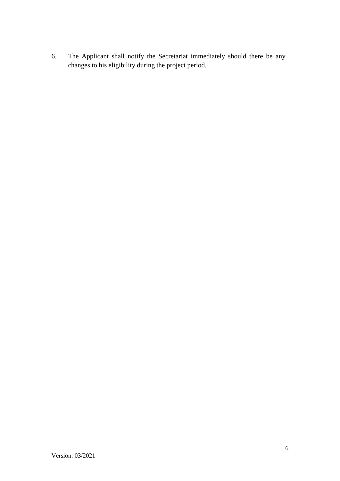6. The Applicant shall notify the Secretariat immediately should there be any changes to his eligibility during the project period.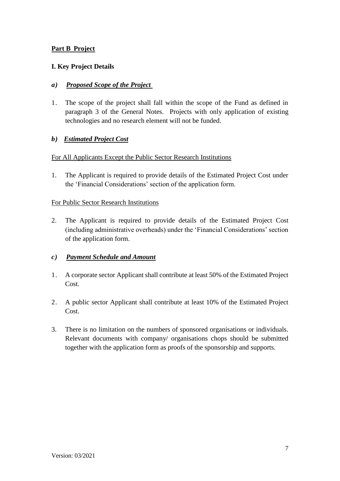## **Part B Project**

## **I. Key Project Details**

#### *a) Proposed Scope of the Project*

1. The scope of the project shall fall within the scope of the Fund as defined in paragraph 3 of the General Notes. Projects with only application of existing technologies and no research element will not be funded.

## *b) Estimated Project Cost*

#### For All Applicants Except the Public Sector Research Institutions

1. The Applicant is required to provide details of the Estimated Project Cost under the 'Financial Considerations' section of the application form.

#### For Public Sector Research Institutions

2. The Applicant is required to provide details of the Estimated Project Cost (including administrative overheads) under the 'Financial Considerations' section of the application form.

## *c) Payment Schedule and Amount*

- 1. A corporate sector Applicant shall contribute at least 50% of the Estimated Project Cost.
- 2. A public sector Applicant shall contribute at least 10% of the Estimated Project Cost.
- 3. There is no limitation on the numbers of sponsored organisations or individuals. Relevant documents with company/ organisations chops should be submitted together with the application form as proofs of the sponsorship and supports.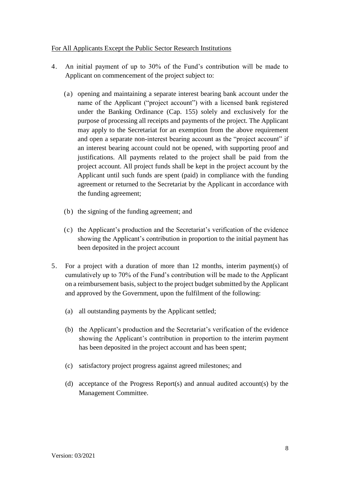#### For All Applicants Except the Public Sector Research Institutions

- 4. An initial payment of up to 30% of the Fund's contribution will be made to Applicant on commencement of the project subject to:
	- (a) opening and maintaining a separate interest bearing bank account under the name of the Applicant ("project account") with a licensed bank registered under the Banking Ordinance (Cap. 155) solely and exclusively for the purpose of processing all receipts and payments of the project. The Applicant may apply to the Secretariat for an exemption from the above requirement and open a separate non-interest bearing account as the "project account" if an interest bearing account could not be opened, with supporting proof and justifications. All payments related to the project shall be paid from the project account. All project funds shall be kept in the project account by the Applicant until such funds are spent (paid) in compliance with the funding agreement or returned to the Secretariat by the Applicant in accordance with the funding agreement;
	- (b) the signing of the funding agreement; and
	- (c) the Applicant's production and the Secretariat's verification of the evidence showing the Applicant's contribution in proportion to the initial payment has been deposited in the project account
- 5. For a project with a duration of more than 12 months, interim payment(s) of cumulatively up to 70% of the Fund's contribution will be made to the Applicant on a reimbursement basis, subject to the project budget submitted by the Applicant and approved by the Government, upon the fulfilment of the following:
	- (a) all outstanding payments by the Applicant settled;
	- (b) the Applicant's production and the Secretariat's verification of the evidence showing the Applicant's contribution in proportion to the interim payment has been deposited in the project account and has been spent;
	- (c) satisfactory project progress against agreed milestones; and
	- (d) acceptance of the Progress Report(s) and annual audited account(s) by the Management Committee.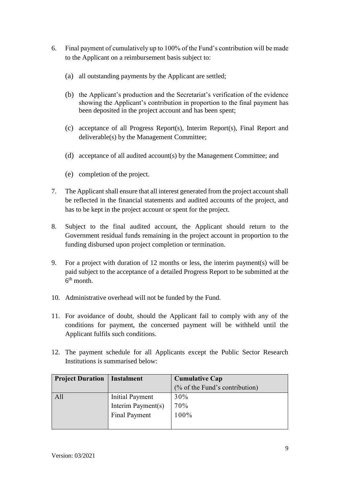- 6. Final payment of cumulatively up to 100% of the Fund's contribution will be made to the Applicant on a reimbursement basis subject to:
	- (a) all outstanding payments by the Applicant are settled;
	- (b) the Applicant's production and the Secretariat's verification of the evidence showing the Applicant's contribution in proportion to the final payment has been deposited in the project account and has been spent;
	- (c) acceptance of all Progress Report(s), Interim Report(s), Final Report and deliverable(s) by the Management Committee;
	- (d) acceptance of all audited account(s) by the Management Committee; and
	- (e) completion of the project.
- 7. The Applicant shall ensure that all interest generated from the project account shall be reflected in the financial statements and audited accounts of the project, and has to be kept in the project account or spent for the project.
- 8. Subject to the final audited account, the Applicant should return to the Government residual funds remaining in the project account in proportion to the funding disbursed upon project completion or termination.
- 9. For a project with duration of 12 months or less, the interim payment(s) will be paid subject to the acceptance of a detailed Progress Report to be submitted at the  $6<sup>th</sup>$  month.
- 10. Administrative overhead will not be funded by the Fund.
- 11. For avoidance of doubt, should the Applicant fail to comply with any of the conditions for payment, the concerned payment will be withheld until the Applicant fulfils such conditions.
- 12. The payment schedule for all Applicants except the Public Sector Research Institutions is summarised below:

| <b>Project Duration</b> | <b>Instalment</b>    | <b>Cumulative Cap</b>          |
|-------------------------|----------------------|--------------------------------|
|                         |                      | (% of the Fund's contribution) |
| All                     | Initial Payment      | 30%                            |
|                         | Interim Payment(s)   | 70%                            |
|                         | <b>Final Payment</b> | 100%                           |
|                         |                      |                                |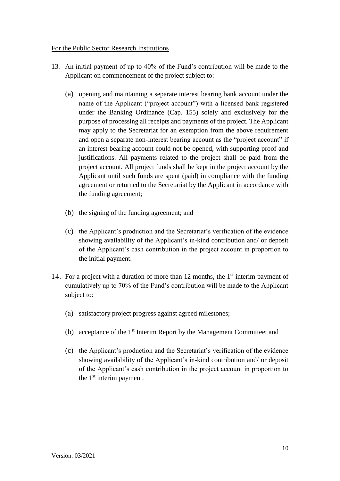## For the Public Sector Research Institutions

- 13. An initial payment of up to 40% of the Fund's contribution will be made to the Applicant on commencement of the project subject to:
	- (a) opening and maintaining a separate interest bearing bank account under the name of the Applicant ("project account") with a licensed bank registered under the Banking Ordinance (Cap. 155) solely and exclusively for the purpose of processing all receipts and payments of the project. The Applicant may apply to the Secretariat for an exemption from the above requirement and open a separate non-interest bearing account as the "project account" if an interest bearing account could not be opened, with supporting proof and justifications. All payments related to the project shall be paid from the project account. All project funds shall be kept in the project account by the Applicant until such funds are spent (paid) in compliance with the funding agreement or returned to the Secretariat by the Applicant in accordance with the funding agreement;
	- (b) the signing of the funding agreement; and
	- (c) the Applicant's production and the Secretariat's verification of the evidence showing availability of the Applicant's in-kind contribution and/ or deposit of the Applicant's cash contribution in the project account in proportion to the initial payment.
- 14. For a project with a duration of more than 12 months, the  $1<sup>st</sup>$  interim payment of cumulatively up to 70% of the Fund's contribution will be made to the Applicant subject to:
	- (a) satisfactory project progress against agreed milestones;
	- (b) acceptance of the 1st Interim Report by the Management Committee; and
	- (c) the Applicant's production and the Secretariat's verification of the evidence showing availability of the Applicant's in-kind contribution and/ or deposit of the Applicant's cash contribution in the project account in proportion to the 1<sup>st</sup> interim payment.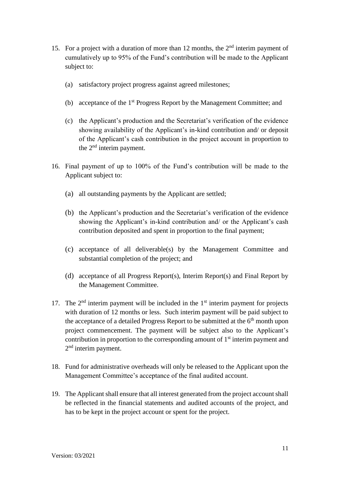- 15. For a project with a duration of more than 12 months, the  $2<sup>nd</sup>$  interim payment of cumulatively up to 95% of the Fund's contribution will be made to the Applicant subject to:
	- (a) satisfactory project progress against agreed milestones;
	- (b) acceptance of the 1st Progress Report by the Management Committee; and
	- (c) the Applicant's production and the Secretariat's verification of the evidence showing availability of the Applicant's in-kind contribution and/ or deposit of the Applicant's cash contribution in the project account in proportion to the 2nd interim payment.
- 16. Final payment of up to 100% of the Fund's contribution will be made to the Applicant subject to:
	- (a) all outstanding payments by the Applicant are settled;
	- (b) the Applicant's production and the Secretariat's verification of the evidence showing the Applicant's in-kind contribution and/ or the Applicant's cash contribution deposited and spent in proportion to the final payment;
	- (c) acceptance of all deliverable(s) by the Management Committee and substantial completion of the project; and
	- (d) acceptance of all Progress Report(s), Interim Report(s) and Final Report by the Management Committee.
- 17. The  $2<sup>nd</sup>$  interim payment will be included in the  $1<sup>st</sup>$  interim payment for projects with duration of 12 months or less. Such interim payment will be paid subject to the acceptance of a detailed Progress Report to be submitted at the  $6<sup>th</sup>$  month upon project commencement. The payment will be subject also to the Applicant's contribution in proportion to the corresponding amount of 1<sup>st</sup> interim payment and 2<sup>nd</sup> interim payment.
- 18. Fund for administrative overheads will only be released to the Applicant upon the Management Committee's acceptance of the final audited account.
- 19. The Applicant shall ensure that all interest generated from the project account shall be reflected in the financial statements and audited accounts of the project, and has to be kept in the project account or spent for the project.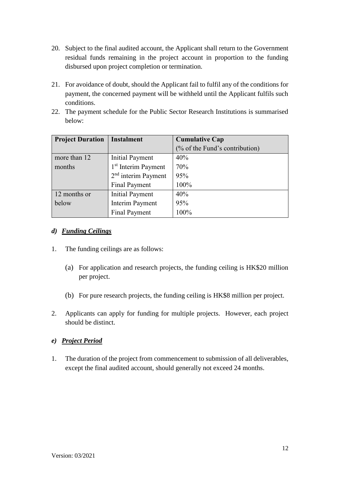- 20. Subject to the final audited account, the Applicant shall return to the Government residual funds remaining in the project account in proportion to the funding disbursed upon project completion or termination.
- 21. For avoidance of doubt, should the Applicant fail to fulfil any of the conditions for payment, the concerned payment will be withheld until the Applicant fulfils such conditions.
- 22. The payment schedule for the Public Sector Research Institutions is summarised below:

| <b>Project Duration</b> | <b>Instalment</b>               | <b>Cumulative Cap</b>          |
|-------------------------|---------------------------------|--------------------------------|
|                         |                                 | (% of the Fund's contribution) |
| more than 12            | <b>Initial Payment</b>          | 40%                            |
| months                  | 1 <sup>st</sup> Interim Payment | 70%                            |
|                         | $2nd$ interim Payment           | 95%                            |
|                         | <b>Final Payment</b>            | 100%                           |
| 12 months or            | <b>Initial Payment</b>          | 40%                            |
| below                   | <b>Interim Payment</b>          | 95%                            |
|                         | <b>Final Payment</b>            | 100%                           |

## *d) Funding Ceilings*

- 1. The funding ceilings are as follows:
	- (a) For application and research projects, the funding ceiling is HK\$20 million per project.
	- (b) For pure research projects, the funding ceiling is HK\$8 million per project.
- 2. Applicants can apply for funding for multiple projects. However, each project should be distinct.

## *e) Project Period*

1. The duration of the project from commencement to submission of all deliverables, except the final audited account, should generally not exceed 24 months.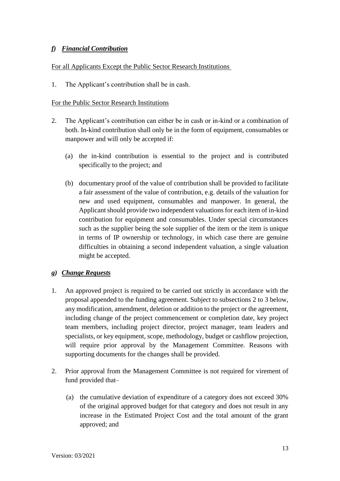## *f) Financial Contribution*

#### For all Applicants Except the Public Sector Research Institutions

1. The Applicant's contribution shall be in cash.

#### For the Public Sector Research Institutions

- 2. The Applicant's contribution can either be in cash or in-kind or a combination of both. In-kind contribution shall only be in the form of equipment, consumables or manpower and will only be accepted if:
	- (a) the in-kind contribution is essential to the project and is contributed specifically to the project; and
	- (b) documentary proof of the value of contribution shall be provided to facilitate a fair assessment of the value of contribution, e.g. details of the valuation for new and used equipment, consumables and manpower. In general, the Applicant should provide two independent valuations for each item of in-kind contribution for equipment and consumables. Under special circumstances such as the supplier being the sole supplier of the item or the item is unique in terms of IP ownership or technology, in which case there are genuine difficulties in obtaining a second independent valuation, a single valuation might be accepted.

## *g) Change Requests*

- 1. An approved project is required to be carried out strictly in accordance with the proposal appended to the funding agreement. Subject to subsections 2 to 3 below, any modification, amendment, deletion or addition to the project or the agreement, including change of the project commencement or completion date, key project team members, including project director, project manager, team leaders and specialists, or key equipment, scope, methodology, budget or cashflow projection, will require prior approval by the Management Committee. Reasons with supporting documents for the changes shall be provided.
- 2. Prior approval from the Management Committee is not required for virement of fund provided that–
	- (a) the cumulative deviation of expenditure of a category does not exceed 30% of the original approved budget for that category and does not result in any increase in the Estimated Project Cost and the total amount of the grant approved; and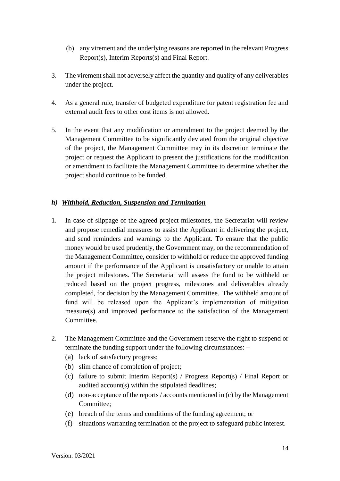- (b) any virement and the underlying reasons are reported in the relevant Progress Report(s), Interim Reports(s) and Final Report.
- 3. The virement shall not adversely affect the quantity and quality of any deliverables under the project.
- 4. As a general rule, transfer of budgeted expenditure for patent registration fee and external audit fees to other cost items is not allowed.
- 5. In the event that any modification or amendment to the project deemed by the Management Committee to be significantly deviated from the original objective of the project, the Management Committee may in its discretion terminate the project or request the Applicant to present the justifications for the modification or amendment to facilitate the Management Committee to determine whether the project should continue to be funded.

## *h) Withhold, Reduction, Suspension and Termination*

- 1. In case of slippage of the agreed project milestones, the Secretariat will review and propose remedial measures to assist the Applicant in delivering the project, and send reminders and warnings to the Applicant. To ensure that the public money would be used prudently, the Government may, on the recommendation of the Management Committee, consider to withhold or reduce the approved funding amount if the performance of the Applicant is unsatisfactory or unable to attain the project milestones. The Secretariat will assess the fund to be withheld or reduced based on the project progress, milestones and deliverables already completed, for decision by the Management Committee. The withheld amount of fund will be released upon the Applicant's implementation of mitigation measure(s) and improved performance to the satisfaction of the Management Committee.
- 2. The Management Committee and the Government reserve the right to suspend or terminate the funding support under the following circumstances: –
	- (a) lack of satisfactory progress;
	- (b) slim chance of completion of project;
	- (c) failure to submit Interim Report(s) / Progress Report(s) / Final Report or audited account(s) within the stipulated deadlines;
	- (d) non-acceptance of the reports / accounts mentioned in (c) by the Management Committee;
	- (e) breach of the terms and conditions of the funding agreement; or
	- (f) situations warranting termination of the project to safeguard public interest.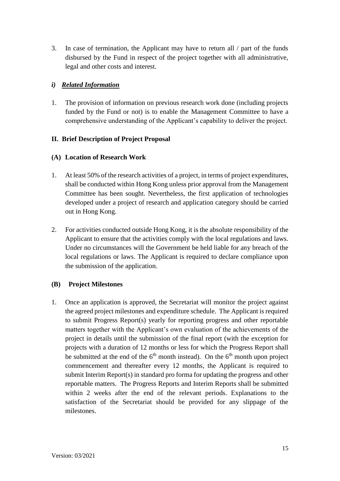3. In case of termination, the Applicant may have to return all / part of the funds disbursed by the Fund in respect of the project together with all administrative, legal and other costs and interest.

## *i) Related Information*

1. The provision of information on previous research work done (including projects funded by the Fund or not) is to enable the Management Committee to have a comprehensive understanding of the Applicant's capability to deliver the project.

## **II. Brief Description of Project Proposal**

## **(A) Location of Research Work**

- 1. At least 50% of the research activities of a project, in terms of project expenditures, shall be conducted within Hong Kong unless prior approval from the Management Committee has been sought. Nevertheless, the first application of technologies developed under a project of research and application category should be carried out in Hong Kong.
- 2. For activities conducted outside Hong Kong, it is the absolute responsibility of the Applicant to ensure that the activities comply with the local regulations and laws. Under no circumstances will the Government be held liable for any breach of the local regulations or laws. The Applicant is required to declare compliance upon the submission of the application.

## **(B) Project Milestones**

1. Once an application is approved, the Secretariat will monitor the project against the agreed project milestones and expenditure schedule. The Applicant is required to submit Progress Report(s) yearly for reporting progress and other reportable matters together with the Applicant's own evaluation of the achievements of the project in details until the submission of the final report (with the exception for projects with a duration of 12 months or less for which the Progress Report shall be submitted at the end of the  $6<sup>th</sup>$  month instead). On the  $6<sup>th</sup>$  month upon project commencement and thereafter every 12 months, the Applicant is required to submit Interim Report(s) in standard pro forma for updating the progress and other reportable matters. The Progress Reports and Interim Reports shall be submitted within 2 weeks after the end of the relevant periods. Explanations to the satisfaction of the Secretariat should be provided for any slippage of the milestones.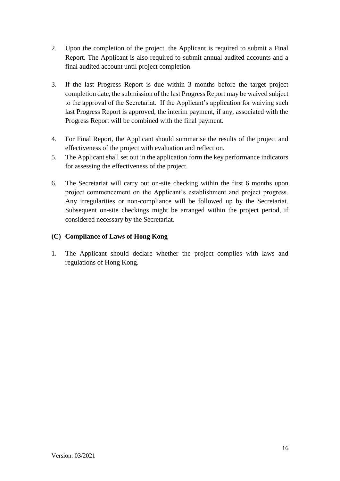- 2. Upon the completion of the project, the Applicant is required to submit a Final Report. The Applicant is also required to submit annual audited accounts and a final audited account until project completion.
- 3. If the last Progress Report is due within 3 months before the target project completion date, the submission of the last Progress Report may be waived subject to the approval of the Secretariat. If the Applicant's application for waiving such last Progress Report is approved, the interim payment, if any, associated with the Progress Report will be combined with the final payment.
- 4. For Final Report, the Applicant should summarise the results of the project and effectiveness of the project with evaluation and reflection.
- 5. The Applicant shall set out in the application form the key performance indicators for assessing the effectiveness of the project.
- 6. The Secretariat will carry out on-site checking within the first 6 months upon project commencement on the Applicant's establishment and project progress. Any irregularities or non-compliance will be followed up by the Secretariat. Subsequent on-site checkings might be arranged within the project period, if considered necessary by the Secretariat.

## **(C) Compliance of Laws of Hong Kong**

1. The Applicant should declare whether the project complies with laws and regulations of Hong Kong.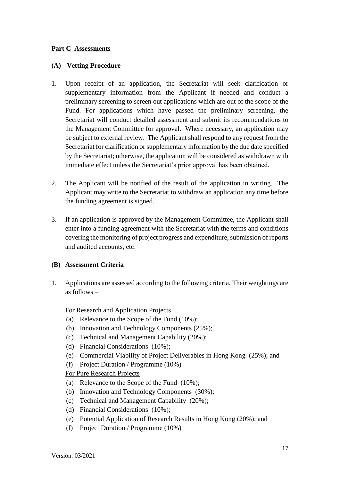### **Part C Assessments**

#### **(A) Vetting Procedure**

- 1. Upon receipt of an application, the Secretariat will seek clarification or supplementary information from the Applicant if needed and conduct a preliminary screening to screen out applications which are out of the scope of the Fund. For applications which have passed the preliminary screening, the Secretariat will conduct detailed assessment and submit its recommendations to the Management Committee for approval. Where necessary, an application may be subject to external review. The Applicant shall respond to any request from the Secretariat for clarification or supplementary information by the due date specified by the Secretariat; otherwise, the application will be considered as withdrawn with immediate effect unless the Secretariat's prior approval has been obtained.
- 2. The Applicant will be notified of the result of the application in writing. The Applicant may write to the Secretariat to withdraw an application any time before the funding agreement is signed.
- 3. If an application is approved by the Management Committee, the Applicant shall enter into a funding agreement with the Secretariat with the terms and conditions covering the monitoring of project progress and expenditure, submission of reports and audited accounts, etc.

## **(B) Assessment Criteria**

1. Applications are assessed according to the following criteria. Their weightings are as follows –

For Research and Application Projects

- (a) Relevance to the Scope of the Fund (10%);
- (b) Innovation and Technology Components (25%);
- (c) Technical and Management Capability (20%);
- (d) Financial Considerations (10%);
- (e) Commercial Viability of Project Deliverables in Hong Kong (25%); and
- (f) Project Duration / Programme (10%)

For Pure Research Projects

- (a) Relevance to the Scope of the Fund (10%);
- (b) Innovation and Technology Components (30%);
- (c) Technical and Management Capability (20%);
- (d) Financial Considerations (10%);
- (e) Potential Application of Research Results in Hong Kong (20%); and
- (f) Project Duration / Programme (10%)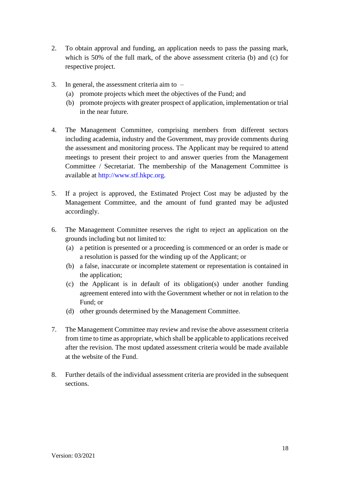- 2. To obtain approval and funding, an application needs to pass the passing mark, which is 50% of the full mark, of the above assessment criteria (b) and (c) for respective project.
- 3. In general, the assessment criteria aim to
	- (a) promote projects which meet the objectives of the Fund; and
	- (b) promote projects with greater prospect of application, implementation or trial in the near future.
- 4. The Management Committee, comprising members from different sectors including academia, industry and the Government, may provide comments during the assessment and monitoring process. The Applicant may be required to attend meetings to present their project to and answer queries from the Management Committee / Secretariat. The membership of the Management Committee is available at [http://www.stf.hkpc.org.](http://www.stf.hkpc.org/)
- 5. If a project is approved, the Estimated Project Cost may be adjusted by the Management Committee, and the amount of fund granted may be adjusted accordingly.
- 6. The Management Committee reserves the right to reject an application on the grounds including but not limited to:
	- (a) a petition is presented or a proceeding is commenced or an order is made or a resolution is passed for the winding up of the Applicant; or
	- (b) a false, inaccurate or incomplete statement or representation is contained in the application;
	- (c) the Applicant is in default of its obligation(s) under another funding agreement entered into with the Government whether or not in relation to the Fund; or
	- (d) other grounds determined by the Management Committee.
- 7. The Management Committee may review and revise the above assessment criteria from time to time as appropriate, which shall be applicable to applications received after the revision. The most updated assessment criteria would be made available at the website of the Fund.
- 8. Further details of the individual assessment criteria are provided in the subsequent sections.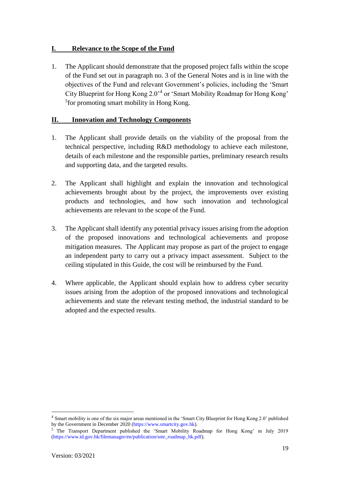## **I. Relevance to the Scope of the Fund**

1. The Applicant should demonstrate that the proposed project falls within the scope of the Fund set out in paragraph no. 3 of the General Notes and is in line with the objectives of the Fund and relevant Government's policies, including the 'Smart City Blueprint for Hong Kong 2.0'<sup>4</sup> or 'Smart Mobility Roadmap for Hong Kong' 5 for promoting smart mobility in Hong Kong.

## **II. Innovation and Technology Components**

- 1. The Applicant shall provide details on the viability of the proposal from the technical perspective, including R&D methodology to achieve each milestone, details of each milestone and the responsible parties, preliminary research results and supporting data, and the targeted results.
- 2. The Applicant shall highlight and explain the innovation and technological achievements brought about by the project, the improvements over existing products and technologies, and how such innovation and technological achievements are relevant to the scope of the Fund.
- 3. The Applicant shall identify any potential privacy issues arising from the adoption of the proposed innovations and technological achievements and propose mitigation measures. The Applicant may propose as part of the project to engage an independent party to carry out a privacy impact assessment. Subject to the ceiling stipulated in this Guide, the cost will be reimbursed by the Fund.
- 4. Where applicable, the Applicant should explain how to address cyber security issues arising from the adoption of the proposed innovations and technological achievements and state the relevant testing method, the industrial standard to be adopted and the expected results.

 $\overline{a}$ 

<sup>4</sup> Smart mobility is one of the six major areas mentioned in the 'Smart City Blueprint for Hong Kong 2.0' published by the Government in December 2020 [\(https://www.smartcity.gov.hk\)](https://www.smartcity.gov.hk/).

<sup>5</sup> The Transport Department published the 'Smart Mobility Roadmap for Hong Kong' in July 2019 [\(https://www.td.gov.hk/filemanager/en/publication/smr\\_roadmap\\_hk.pdf\)](https://www.td.gov.hk/filemanager/en/publication/smr_roadmap_hk.pdf).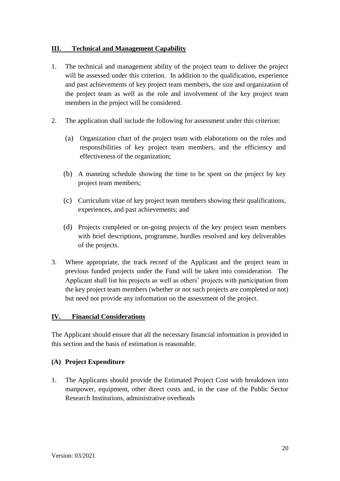## **III. Technical and Management Capability**

- 1. The technical and management ability of the project team to deliver the project will be assessed under this criterion. In addition to the qualification, experience and past achievements of key project team members, the size and organization of the project team as well as the role and involvement of the key project team members in the project will be considered.
- 2. The application shall include the following for assessment under this criterion:
	- (a) Organization chart of the project team with elaborations on the roles and responsibilities of key project team members, and the efficiency and effectiveness of the organization;
	- (b) A manning schedule showing the time to be spent on the project by key project team members;
	- (c) Curriculum vitae of key project team members showing their qualifications, experiences, and past achievements; and
	- (d) Projects completed or on-going projects of the key project team members with brief descriptions, programme, hurdles resolved and key deliverables of the projects.
- 3. Where appropriate, the track record of the Applicant and the project team in previous funded projects under the Fund will be taken into consideration. The Applicant shall list his projects as well as others' projects with participation from the key project team members (whether or not such projects are completed or not) but need not provide any information on the assessment of the project.

## **IV. Financial Considerations**

The Applicant should ensure that all the necessary financial information is provided in this section and the basis of estimation is reasonable.

## **(A) Project Expenditure**

1. The Applicants should provide the Estimated Project Cost with breakdown into manpower, equipment, other direct costs and, in the case of the Public Sector Research Institutions, administrative overheads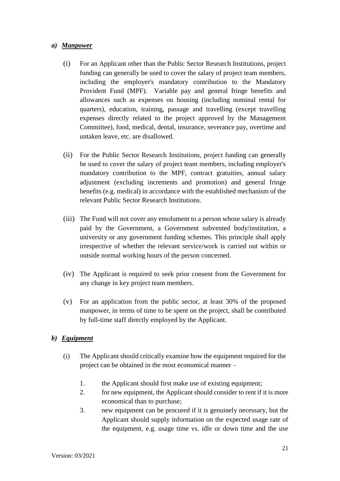## *a) Manpower*

- (i) For an Applicant other than the Public Sector Research Institutions, project funding can generally be used to cover the salary of project team members, including the employer's mandatory contribution to the Mandatory Provident Fund (MPF). Variable pay and general fringe benefits and allowances such as expenses on housing (including nominal rental for quarters), education, training, passage and travelling (except travelling expenses directly related to the project approved by the Management Committee), food, medical, dental, insurance, severance pay, overtime and untaken leave, etc. are disallowed.
- (ii) For the Public Sector Research Institutions, project funding can generally be used to cover the salary of project team members, including employer's mandatory contribution to the MPF, contract gratuities, annual salary adjustment (excluding increments and promotion) and general fringe benefits (e.g. medical) in accordance with the established mechanism of the relevant Public Sector Research Institutions.
- (iii) The Fund will not cover any emolument to a person whose salary is already paid by the Government, a Government subvented body/institution, a university or any government funding schemes. This principle shall apply irrespective of whether the relevant service/work is carried out within or outside normal working hours of the person concerned.
- (iv) The Applicant is required to seek prior consent from the Government for any change in key project team members.
- (v) For an application from the public sector, at least 30% of the proposed manpower, in terms of time to be spent on the project, shall be contributed by full-time staff directly employed by the Applicant.

## *b) Equipment*

- (i) The Applicant should critically examine how the equipment required for the project can be obtained in the most economical manner –
	- 1. the Applicant should first make use of existing equipment;
	- 2. for new equipment, the Applicant should consider to rent if it is more economical than to purchase;
	- 3. new equipment can be procured if it is genuinely necessary, but the Applicant should supply information on the expected usage rate of the equipment, e.g. usage time vs. idle or down time and the use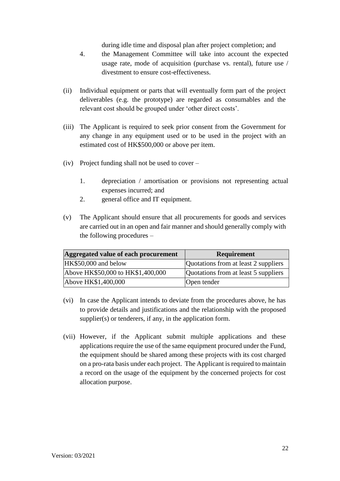during idle time and disposal plan after project completion; and

- 4. the Management Committee will take into account the expected usage rate, mode of acquisition (purchase vs. rental), future use / divestment to ensure cost-effectiveness.
- (ii) Individual equipment or parts that will eventually form part of the project deliverables (e.g. the prototype) are regarded as consumables and the relevant cost should be grouped under 'other direct costs'.
- (iii) The Applicant is required to seek prior consent from the Government for any change in any equipment used or to be used in the project with an estimated cost of HK\$500,000 or above per item.
- (iv) Project funding shall not be used to cover
	- 1. depreciation / amortisation or provisions not representing actual expenses incurred; and
	- 2. general office and IT equipment.
- (v) The Applicant should ensure that all procurements for goods and services are carried out in an open and fair manner and should generally comply with the following procedures –

| Aggregated value of each procurement | <b>Requirement</b>                   |
|--------------------------------------|--------------------------------------|
| HK\$50,000 and below                 | Quotations from at least 2 suppliers |
| Above HK\$50,000 to HK\$1,400,000    | Quotations from at least 5 suppliers |
| Above HK\$1,400,000                  | Open tender                          |

- (vi) In case the Applicant intends to deviate from the procedures above, he has to provide details and justifications and the relationship with the proposed supplier(s) or tenderers, if any, in the application form.
- (vii) However, if the Applicant submit multiple applications and these applications require the use of the same equipment procured under the Fund, the equipment should be shared among these projects with its cost charged on a pro-rata basis under each project. The Applicant is required to maintain a record on the usage of the equipment by the concerned projects for cost allocation purpose.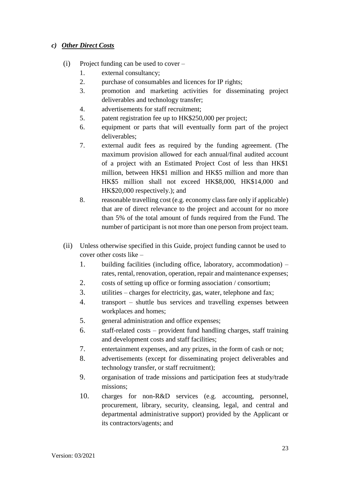## *c) Other Direct Costs*

- (i) Project funding can be used to cover
	- 1. external consultancy;
	- 2. purchase of consumables and licences for IP rights;
	- 3. promotion and marketing activities for disseminating project deliverables and technology transfer;
	- 4. advertisements for staff recruitment;
	- 5. patent registration fee up to HK\$250,000 per project;
	- 6. equipment or parts that will eventually form part of the project deliverables;
	- 7. external audit fees as required by the funding agreement. (The maximum provision allowed for each annual/final audited account of a project with an Estimated Project Cost of less than HK\$1 million, between HK\$1 million and HK\$5 million and more than HK\$5 million shall not exceed HK\$8,000, HK\$14,000 and HK\$20,000 respectively.); and
	- 8. reasonable travelling cost (e.g. economy class fare only if applicable) that are of direct relevance to the project and account for no more than 5% of the total amount of funds required from the Fund. The number of participant is not more than one person from project team.
- (ii) Unless otherwise specified in this Guide, project funding cannot be used to cover other costs like –
	- 1. building facilities (including office, laboratory, accommodation) rates, rental, renovation, operation, repair and maintenance expenses;
	- 2. costs of setting up office or forming association / consortium;
	- 3. utilities charges for electricity, gas, water, telephone and fax;
	- 4. transport shuttle bus services and travelling expenses between workplaces and homes;
	- 5. general administration and office expenses;
	- 6. staff-related costs provident fund handling charges, staff training and development costs and staff facilities;
	- 7. entertainment expenses, and any prizes, in the form of cash or not;
	- 8. advertisements (except for disseminating project deliverables and technology transfer, or staff recruitment);
	- 9. organisation of trade missions and participation fees at study/trade missions;
	- 10. charges for non-R&D services (e.g. accounting, personnel, procurement, library, security, cleansing, legal, and central and departmental administrative support) provided by the Applicant or its contractors/agents; and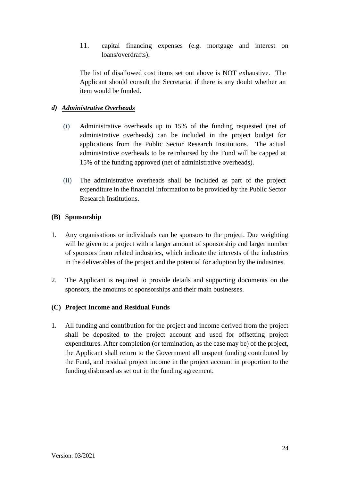11. capital financing expenses (e.g. mortgage and interest on loans/overdrafts).

The list of disallowed cost items set out above is NOT exhaustive. The Applicant should consult the Secretariat if there is any doubt whether an item would be funded.

## *d) Administrative Overheads*

- (i) Administrative overheads up to 15% of the funding requested (net of administrative overheads) can be included in the project budget for applications from the Public Sector Research Institutions. The actual administrative overheads to be reimbursed by the Fund will be capped at 15% of the funding approved (net of administrative overheads).
- (ii) The administrative overheads shall be included as part of the project expenditure in the financial information to be provided by the Public Sector Research Institutions.

## **(B) Sponsorship**

- 1. Any organisations or individuals can be sponsors to the project. Due weighting will be given to a project with a larger amount of sponsorship and larger number of sponsors from related industries, which indicate the interests of the industries in the deliverables of the project and the potential for adoption by the industries.
- 2. The Applicant is required to provide details and supporting documents on the sponsors, the amounts of sponsorships and their main businesses.

## **(C) Project Income and Residual Funds**

1. All funding and contribution for the project and income derived from the project shall be deposited to the project account and used for offsetting project expenditures. After completion (or termination, as the case may be) of the project, the Applicant shall return to the Government all unspent funding contributed by the Fund, and residual project income in the project account in proportion to the funding disbursed as set out in the funding agreement.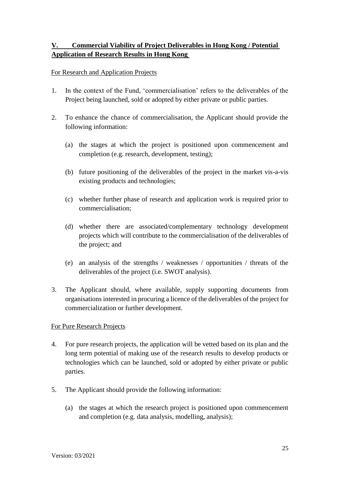# **V. Commercial Viability of Project Deliverables in Hong Kong / Potential Application of Research Results in Hong Kong**

## For Research and Application Projects

- 1. In the context of the Fund, 'commercialisation' refers to the deliverables of the Project being launched, sold or adopted by either private or public parties.
- 2. To enhance the chance of commercialisation, the Applicant should provide the following information:
	- (a) the stages at which the project is positioned upon commencement and completion (e.g. research, development, testing);
	- (b) future positioning of the deliverables of the project in the market vis-a-vis existing products and technologies;
	- (c) whether further phase of research and application work is required prior to commercialisation;
	- (d) whether there are associated/complementary technology development projects which will contribute to the commercialisation of the deliverables of the project; and
	- (e) an analysis of the strengths / weaknesses / opportunities / threats of the deliverables of the project (i.e. SWOT analysis).
- 3. The Applicant should, where available, supply supporting documents from organisations interested in procuring a licence of the deliverables of the project for commercialization or further development.

## For Pure Research Projects

- 4. For pure research projects, the application will be vetted based on its plan and the long term potential of making use of the research results to develop products or technologies which can be launched, sold or adopted by either private or public parties.
- 5. The Applicant should provide the following information:
	- (a) the stages at which the research project is positioned upon commencement and completion (e.g. data analysis, modelling, analysis);